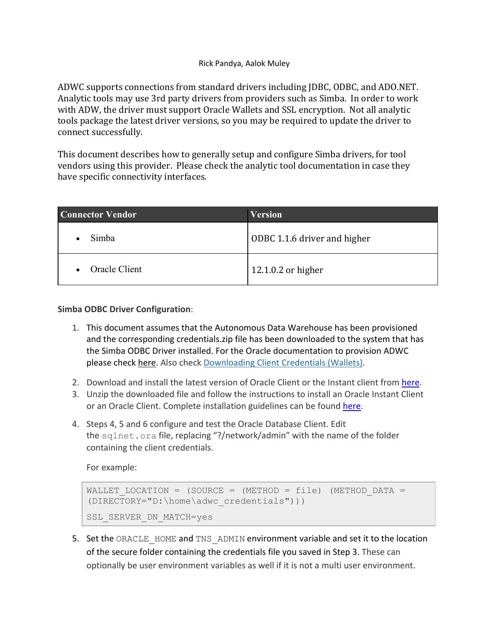## Rick Pandya, Aalok Muley

ADWC supports connections from standard drivers including JDBC, ODBC, and ADO.NET. Analytic tools may use 3rd party drivers from providers such as Simba. In order to work with ADW, the driver must support Oracle Wallets and SSL encryption. Not all analytic tools package the latest driver versions, so you may be required to update the driver to connect successfully.

 This document describes how to generally setup and configure Simba drivers, for tool vendors using this provider. Please check the analytic tool documentation in case they have specific connectivity interfaces.

| <b>Connector Vendor</b> | <b>Version</b>               |  |
|-------------------------|------------------------------|--|
| Simba                   | ODBC 1.1.6 driver and higher |  |
| Oracle Client           | 12.1.0.2 or higher           |  |

## **Simba ODBC Driver Configuration**:

- 1. This document assumes that the Autonomous Data Warehouse has been provisioned and the corresponding credentials.zip file has been downloaded to the system that has the Simba ODBC Driver installed. For the Oracle documentation to provision ADWC please check here. Also check Downloading Client Credentials (Wallets).
- 2. Download and install the latest version of Oracle Client or the Instant client from here.
- 3. Unzip the downloaded file and follow the instructions to install an Oracle Instant Client or an Oracle Client. Complete installation guidelines can be found here.
- 4. Steps 4, 5 and 6 configure and test the Oracle Database Client. Edit the sqlnet.ora file, replacing "?/network/admin" with the name of the folder containing the client credentials.

For example:

```
WALLET LOCATION = (SOURCE = (METHOD = file) (METHOD DATA =
(DIRECTORY="D:\home\adwc_credentials"))) 
SSL SERVER DN MATCH=yes
```
5. Set the ORACLE\_HOME and TNS\_ADMIN environment variable and set it to the location of the secure folder containing the credentials file you saved in Step 3. These can optionally be user environment variables as well if it is not a multi user environment.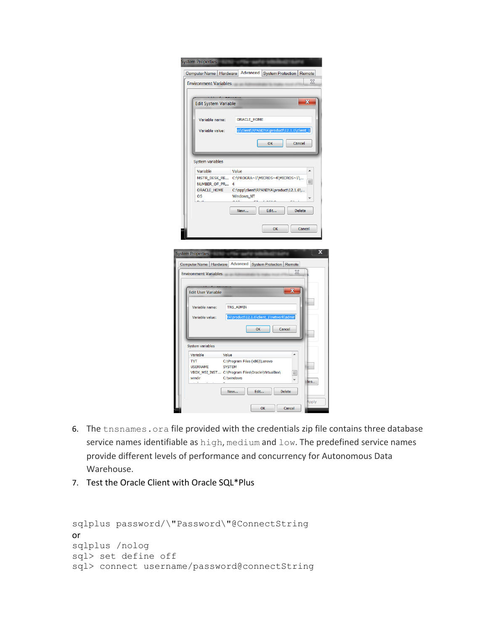|                                                                               | Advanced<br>Computer Name   Hardware<br>System Protection   Remote       |
|-------------------------------------------------------------------------------|--------------------------------------------------------------------------|
| <b>Environment Variables</b>                                                  | ⅏                                                                        |
|                                                                               |                                                                          |
| <b>Edit System Variable</b>                                                   | X                                                                        |
|                                                                               |                                                                          |
| Variable name:                                                                | ORACLE_HOME                                                              |
| Variable value:                                                               | p\client\RPANDYA\product\12.1.0\client_1                                 |
|                                                                               | OK<br>Cancel                                                             |
|                                                                               |                                                                          |
| System variables                                                              |                                                                          |
| Variable                                                                      | Value<br>▲                                                               |
| MSTR_DESK_RE<br>NUMBER_OF_PR                                                  | C:\PROGRA~1\MICROS~4\MICROS~1\<br>킈<br>4                                 |
| ORACLE_HOME                                                                   | C:\app\client\RPANDYA\product\12.1.0\                                    |
| os                                                                            | Windows_NT<br>$\sim$                                                     |
|                                                                               | Edit<br><b>Delete</b><br>New                                             |
|                                                                               |                                                                          |
|                                                                               |                                                                          |
|                                                                               | OK<br>Cancel                                                             |
|                                                                               |                                                                          |
|                                                                               |                                                                          |
|                                                                               |                                                                          |
|                                                                               | Computer Name   Hardware   Advanced   System Protection  <br>Remote<br>X |
|                                                                               |                                                                          |
| ystem Properties<br><b>Environment Variables</b><br><b>Edit User Variable</b> | x                                                                        |
|                                                                               |                                                                          |
| Variable name:                                                                | TNS_ADMIN                                                                |
| Variable value:                                                               | YA\product\12.1.0\client_1\network\admin                                 |
|                                                                               | OK<br>Cancel                                                             |
|                                                                               |                                                                          |
| System variables                                                              |                                                                          |
|                                                                               | Value<br>C:\Program Files (x86)\Lenovo                                   |
|                                                                               | <b>SYSTEM</b><br>VBOX_MSI_INST C:\Program Files\Oracle\VirtualBox\       |
| Variable<br><b>TVT</b><br><b>USERNAME</b><br>windir                           | 듸<br>C:\windows<br>٠<br>$\parallel$ les                                  |
|                                                                               | <b>Delete</b><br>New<br>Edit                                             |
|                                                                               | Apply                                                                    |

- 6. The tnsnames.ora file provided with the credentials zip file contains three database service names identifiable as high, medium and low. The predefined service names provide different levels of performance and concurrency for Autonomous Data Warehouse.
- 7. Test the Oracle Client with Oracle SQL\*Plus

```
 
sqlplus password/\"Password\"@ConnectString or 
sqlplus /nolog
sql> set define off
sql> connect username/password@connectString
```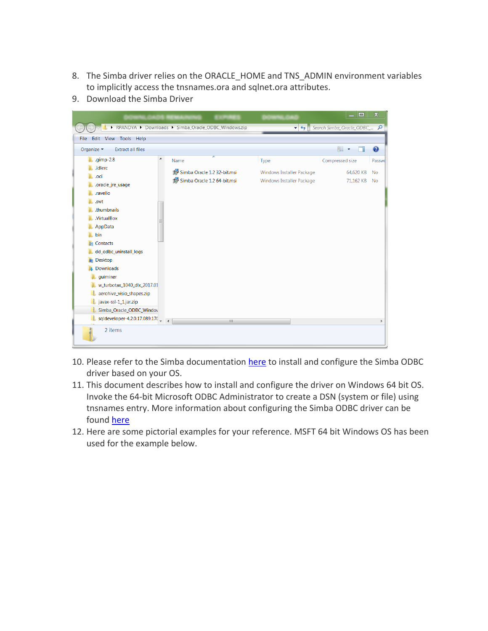- 8. The Simba driver relies on the ORACLE\_HOME and TNS\_ADMIN environment variables to implicitly access the tnsnames.ora and sqlnet.ora attributes.
- 9. Download the Simba Driver

|                                                                                               |                                                       |                                          | $\Box$                       | $\mathbf x$         |
|-----------------------------------------------------------------------------------------------|-------------------------------------------------------|------------------------------------------|------------------------------|---------------------|
|                                                                                               | ▶ RPANDYA ▶ Downloads ▶ Simba_Oracle_ODBC_Windows.zip | $-4$                                     | Search Simba_Oracle_ODBC_ Q  |                     |
| Edit View Tools Help<br><b>File</b>                                                           |                                                       |                                          |                              |                     |
| Organize -<br><b>Extract all files</b>                                                        |                                                       |                                          | 睚                            | ❸                   |
| .gimp-2.8<br>▲<br>ш.<br>.idlerc                                                               | ≖<br>Name<br>Simba Oracle 1.2 32-bit.msi              | Type<br><b>Windows Installer Package</b> | Compressed size<br>64,620 KB | Passwo<br><b>No</b> |
| .oci<br>.oracle_jre_usage<br>.ravello                                                         | Simba Oracle 1.2 64-bit.msi                           | <b>Windows Installer Package</b>         | 71,162 KB                    | <b>No</b>           |
| .swt<br>.thumbnails<br>.VirtualBox                                                            |                                                       |                                          |                              |                     |
| AppData<br>bin<br>Contacts<br>dd_odbc_uninstall_logs                                          |                                                       |                                          |                              |                     |
| <b>Desktop</b><br><b>Downloads</b>                                                            |                                                       |                                          |                              |                     |
| quiminer<br>w_turbotax_1040_dlx_2017.01<br>aerohive_visio_shapes.zip<br>javax-ssl-1_1.jar.zip |                                                       |                                          |                              |                     |
| Simba_Oracle_ODBC_Windov<br>sqldeveloper-4.2.0.17.089.17(                                     | $\overline{4}$<br>HH.                                 |                                          |                              | Þ                   |
| 2 items                                                                                       |                                                       |                                          |                              |                     |

- 10. Please refer to the Simba documentation here to install and configure the Simba ODBC driver based on your OS.
- 11. This document describes how to install and configure the driver on Windows 64 bit OS. Invoke the 64-bit Microsoft ODBC Administrator to create a DSN (system or file) using tnsnames entry. More information about configuring the Simba ODBC driver can be found here
- 12. Here are some pictorial examples for your reference. MSFT 64 bit Windows OS has been used for the example below.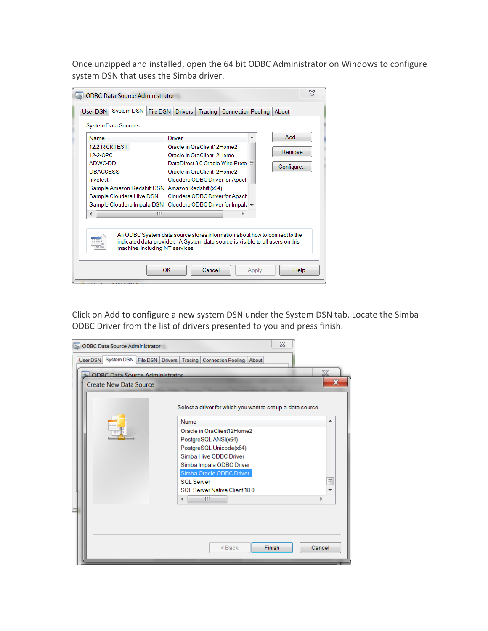Once unzipped and installed, open the 64 bit ODBC Administrator on Windows to configure system DSN that uses the Simba driver.

| Add<br>Name<br><b>Driver</b><br>▴<br>12.2-RICKTEST<br>Oracle in OraClient12Home2<br>Remove<br>12-2-OPC<br>Oracle in OraClient12Home1<br>ADWC-DD<br>DataDirect 8.0 Oracle Wire Proto<br>Ξ<br>Configure<br><b>DBACCESS</b><br>Oracle in OraClient12Home2<br>hivetest<br>Cloudera ODBC Driver for Apach<br>Sample Amazon Redshift DSN Amazon Redshift (x64)<br>Sample Cloudera Hive DSN<br>Cloudera ODBC Driver for Apach<br>Sample Cloudera Impala DSN Cloudera ODBC Driver for Impala +<br>ш<br>An ODBC System data source stores information about how to connect to the<br>indicated data provider. A System data source is visible to all users on this | System DSN<br>User DSN<br>System Data Sources: | File DSN   Drivers | Tracing | <b>Connection Pooling</b> | About |
|-----------------------------------------------------------------------------------------------------------------------------------------------------------------------------------------------------------------------------------------------------------------------------------------------------------------------------------------------------------------------------------------------------------------------------------------------------------------------------------------------------------------------------------------------------------------------------------------------------------------------------------------------------------|------------------------------------------------|--------------------|---------|---------------------------|-------|
|                                                                                                                                                                                                                                                                                                                                                                                                                                                                                                                                                                                                                                                           |                                                |                    |         |                           |       |
|                                                                                                                                                                                                                                                                                                                                                                                                                                                                                                                                                                                                                                                           |                                                |                    |         |                           |       |
| machine, including NT services.                                                                                                                                                                                                                                                                                                                                                                                                                                                                                                                                                                                                                           |                                                |                    |         |                           |       |

 Click on Add to configure a new system DSN under the System DSN tab. Locate the Simba ODBC Driver from the list of drivers presented to you and press finish.

| <b>ODBC</b> Data Source Administrator        | $\chi$                                                      |        |
|----------------------------------------------|-------------------------------------------------------------|--------|
| User DSN System DSN File DSN Drivers Tracing | <b>Connection Pooling   About  </b>                         |        |
| <b>ODRC Data Source Administrator</b>        |                                                             | X      |
| <b>Create New Data Source</b>                |                                                             | X      |
|                                              | Select a driver for which you want to set up a data source. |        |
|                                              | Name                                                        | ▴      |
|                                              | Oracle in OraClient12Home2                                  |        |
|                                              | PostgreSQL ANSI(x64)                                        |        |
|                                              | PostgreSQL Unicode(x64)                                     |        |
|                                              | Simba Hive ODBC Driver                                      |        |
|                                              | Simba Impala ODBC Driver<br>Simba Oracle ODBC Driver        |        |
|                                              | <b>SOL Server</b>                                           | Ξ      |
|                                              | SQL Server Native Client 10.0                               | ↽      |
|                                              | Ш<br>∢                                                      |        |
|                                              |                                                             |        |
|                                              |                                                             |        |
|                                              |                                                             |        |
|                                              |                                                             |        |
|                                              | <b>Finish</b><br>$Back$                                     | Cancel |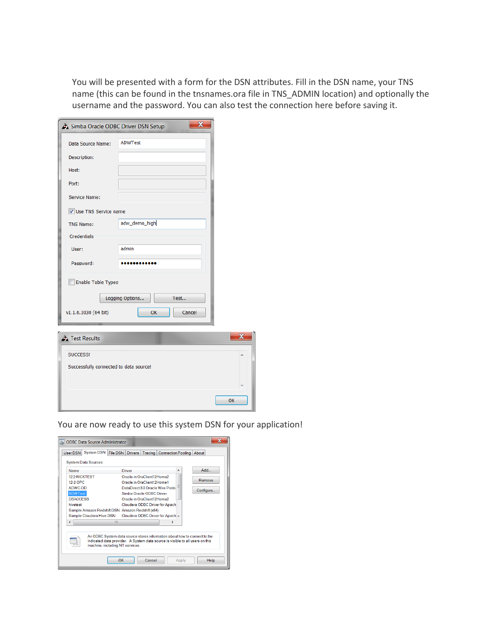You will be presented with a form for the DSN attributes. Fill in the DSN name, your TNS name (this can be found in the tnsnames.ora file in TNS\_ADMIN location) and optionally the username and the password. You can also test the connection here before saving it.

| Simba Oracle ODBC Driver DSN Setup     | $\mathbf x$             |  |
|----------------------------------------|-------------------------|--|
| Data Source Name:                      | <b>ADWTest</b>          |  |
| Description:                           |                         |  |
| Host:                                  |                         |  |
| Port:                                  |                         |  |
| Service Name:                          |                         |  |
| V Use TNS Service name                 |                         |  |
| <b>TNS Name:</b>                       | adw_demo_high           |  |
| Credentials                            |                         |  |
| User:                                  | admin                   |  |
| Password:                              |                         |  |
| <b>Enable Table Types</b>              |                         |  |
|                                        |                         |  |
|                                        | Test<br>Logging Options |  |
| v1.1.6.1030 (64 bit)                   | OK<br>Cancel            |  |
| Test Results                           |                         |  |
|                                        |                         |  |
| SUCCESS!                               |                         |  |
| Successfully connected to data source! |                         |  |
|                                        |                         |  |
|                                        |                         |  |

You are now ready to use this system DSN for your application!